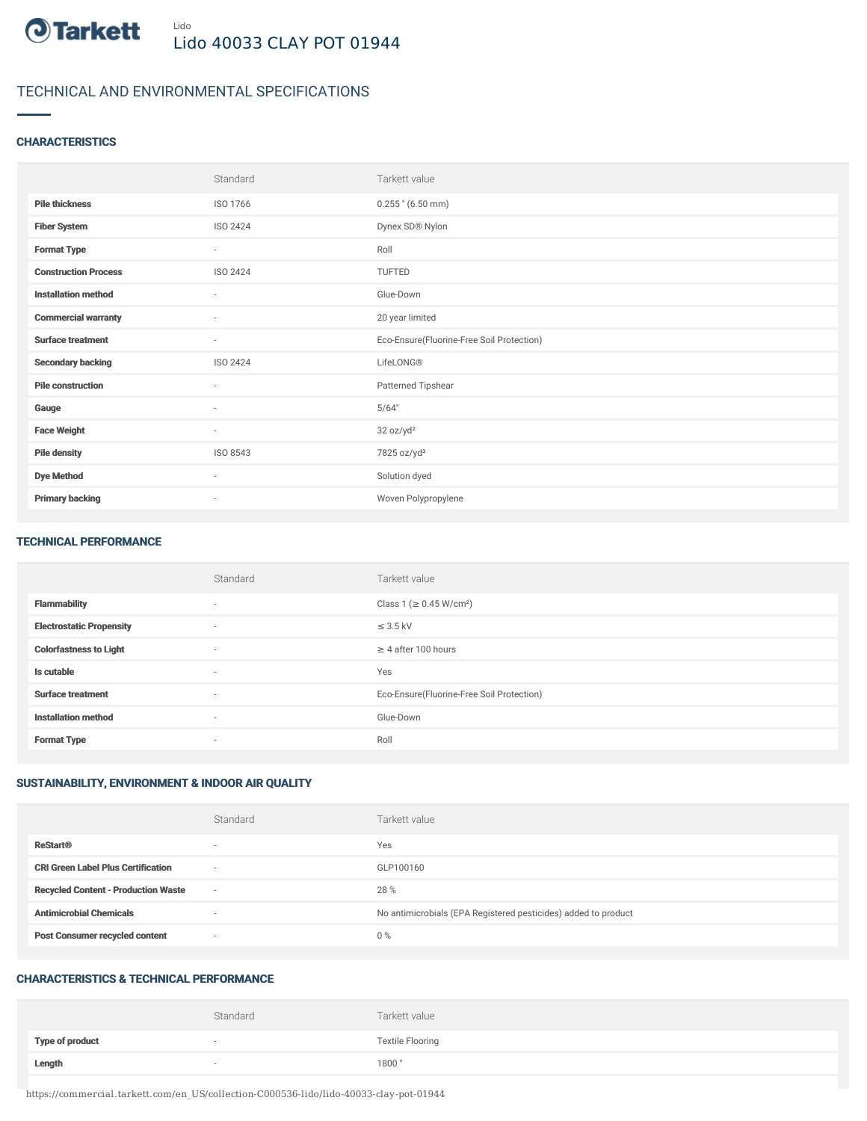

# TECHNICAL AND ENVIRONMENTAL SPECIFICATIONS

## **CHARACTERISTICS**

|                             | Standard                 | Tarkett value                             |
|-----------------------------|--------------------------|-------------------------------------------|
| <b>Pile thickness</b>       | ISO 1766                 | $0.255$ " (6.50 mm)                       |
| <b>Fiber System</b>         | ISO 2424                 | Dynex SD® Nylon                           |
| <b>Format Type</b>          | $\sim$                   | Roll                                      |
| <b>Construction Process</b> | ISO 2424                 | TUFTED                                    |
| <b>Installation method</b>  | $\sim$                   | Glue-Down                                 |
| <b>Commercial warranty</b>  | $\sim$                   | 20 year limited                           |
| <b>Surface treatment</b>    | $\sim$                   | Eco-Ensure(Fluorine-Free Soil Protection) |
| <b>Secondary backing</b>    | ISO 2424                 | LifeLONG®                                 |
| <b>Pile construction</b>    | $\sim$                   | Patterned Tipshear                        |
| Gauge                       | $\overline{\phantom{a}}$ | 5/64"                                     |
| <b>Face Weight</b>          | $\sim$                   | 32 oz/yd <sup>2</sup>                     |
| <b>Pile density</b>         | ISO 8543                 | 7825 oz/yd <sup>3</sup>                   |
| <b>Dye Method</b>           | $\sim$                   | Solution dyed                             |
| <b>Primary backing</b>      | $\overline{\phantom{a}}$ | Woven Polypropylene                       |

#### TECHNICAL PERFORMANCE

|                                 | Standard                 | Tarkett value                             |
|---------------------------------|--------------------------|-------------------------------------------|
| <b>Flammability</b>             | $\sim$                   | Class 1 ( $\geq$ 0.45 W/cm <sup>2</sup> ) |
| <b>Electrostatic Propensity</b> | $\overline{\phantom{a}}$ | $\leq$ 3.5 kV                             |
| <b>Colorfastness to Light</b>   | $\sim$                   | $\geq$ 4 after 100 hours                  |
| Is cutable                      | $\sim$                   | Yes                                       |
| <b>Surface treatment</b>        | $\sim$                   | Eco-Ensure(Fluorine-Free Soil Protection) |
| <b>Installation method</b>      | $\sim$                   | Glue-Down                                 |
| <b>Format Type</b>              | $\sim$                   | Roll                                      |

# SUSTAINABILITY, ENVIRONMENT & INDOOR AIR QUALITY

|                                            | Standard                 | Tarkett value                                                  |
|--------------------------------------------|--------------------------|----------------------------------------------------------------|
| <b>ReStart®</b>                            | $\overline{\phantom{a}}$ | Yes                                                            |
| <b>CRI Green Label Plus Certification</b>  | $\overline{\phantom{a}}$ | GLP100160                                                      |
| <b>Recycled Content - Production Waste</b> | $\overline{\phantom{a}}$ | 28 %                                                           |
| <b>Antimicrobial Chemicals</b>             | <b>1999</b>              | No antimicrobials (EPA Registered pesticides) added to product |
| <b>Post Consumer recycled content</b>      | $\overline{\phantom{a}}$ | $0\%$                                                          |

#### CHARACTERISTICS & TECHNICAL PERFORMANCE

|                        | Standard                 | Tarkett value           |
|------------------------|--------------------------|-------------------------|
| <b>Type of product</b> | $\overline{\phantom{a}}$ | <b>Textile Flooring</b> |
| Length                 |                          | 1800"                   |

https://commercial.tarkett.com/en\_US/collection-C000536-lido/lido-40033-clay-pot-01944